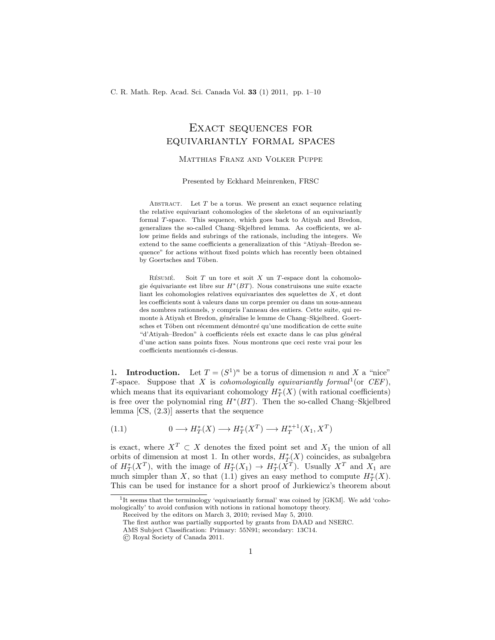## Exact sequences for equivariantly formal spaces

## Matthias Franz and Volker Puppe

Presented by Eckhard Meinrenken, FRSC

ABSTRACT. Let  $T$  be a torus. We present an exact sequence relating the relative equivariant cohomologies of the skeletons of an equivariantly formal T-space. This sequence, which goes back to Atiyah and Bredon, generalizes the so-called Chang–Skjelbred lemma. As coefficients, we allow prime fields and subrings of the rationals, including the integers. We extend to the same coefficients a generalization of this "Atiyah–Bredon sequence" for actions without fixed points which has recently been obtained by Goertsches and Töben.

RÉSUMÉ. Soit  $T$  un tore et soit  $X$  un  $T$ -espace dont la cohomologie équivariante est libre sur  $H^*(BT)$ . Nous construisons une suite exacte liant les cohomologies relatives equivariantes des squelettes de X, et dont les coefficients sont à valeurs dans un corps premier ou dans un sous-anneau des nombres rationnels, y compris l'anneau des entiers. Cette suite, qui remonte à Atiyah et Bredon, généralise le lemme de Chang–Skjelbred. Goertsches et Töben ont récemment démontré qu'une modification de cette suite "d'Atiyah–Bredon" à coefficients réels est exacte dans le cas plus général d'une action sans points fixes. Nous montrons que ceci reste vrai pour les coefficients mentionnés ci-dessus.

1. **Introduction.** Let  $T = (S^1)^n$  be a torus of dimension n and X a "nice" T-space. Suppose that X is *cohomologically equivariantly formal*<sup>1</sup> (or *CEF*), which means that its equivariant cohomology  $H^*_T(X)$  (with rational coefficients) is free over the polynomial ring  $H^*(BT)$ . Then the so-called Chang–Skjelbred lemma [CS, (2.3)] asserts that the sequence

(1.1) 
$$
0 \longrightarrow H^*_T(X) \longrightarrow H^*_T(X^T) \longrightarrow H^{*+1}_T(X_1, X^T)
$$

is exact, where  $X^T \subset X$  denotes the fixed point set and  $X_1$  the union of all orbits of dimension at most 1. In other words,  $H_{T_{\alpha}}^{*}(X)$  coincides, as subalgebra of  $H^*_T(X^T)$ , with the image of  $H^*_T(X_1) \to H^*_T(X^T)$ . Usually  $X^T$  and  $X_1$  are much simpler than X, so that  $(1.1)$  gives an easy method to compute  $H^*_T(X)$ . This can be used for instance for a short proof of Jurkiewicz's theorem about

<sup>&</sup>lt;sup>1</sup>It seems that the terminology 'equivariantly formal' was coined by [GKM]. We add 'cohomologically' to avoid confusion with notions in rational homotopy theory.

Received by the editors on March 3, 2010; revised May 5, 2010.

The first author was partially supported by grants from DAAD and NSERC.

AMS Subject Classification: Primary: 55N91; secondary: 13C14.

<sup>©</sup> Royal Society of Canada 2011.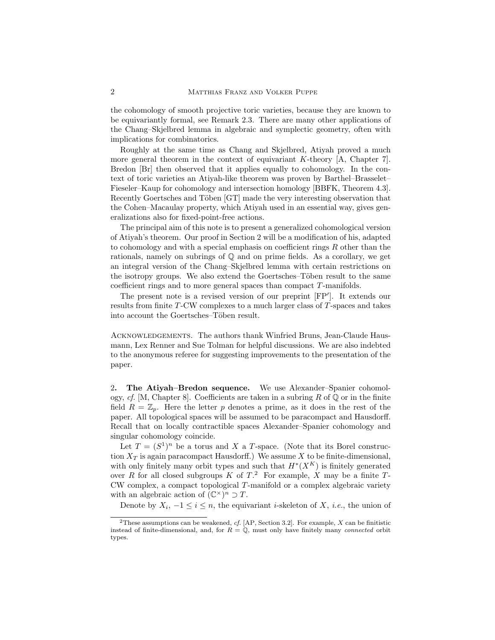the cohomology of smooth projective toric varieties, because they are known to be equivariantly formal, see Remark 2.3. There are many other applications of the Chang–Skjelbred lemma in algebraic and symplectic geometry, often with implications for combinatorics.

Roughly at the same time as Chang and Skjelbred, Atiyah proved a much more general theorem in the context of equivariant K-theory [A, Chapter 7]. Bredon [Br] then observed that it applies equally to cohomology. In the context of toric varieties an Atiyah-like theorem was proven by Barthel–Brasselet– Fieseler–Kaup for cohomology and intersection homology [BBFK, Theorem 4.3]. Recently Goertsches and Töben [GT] made the very interesting observation that the Cohen–Macaulay property, which Atiyah used in an essential way, gives generalizations also for fixed-point-free actions.

The principal aim of this note is to present a generalized cohomological version of Atiyah's theorem. Our proof in Section 2 will be a modification of his, adapted to cohomology and with a special emphasis on coefficient rings  $R$  other than the rationals, namely on subrings of Q and on prime fields. As a corollary, we get an integral version of the Chang–Skjelbred lemma with certain restrictions on the isotropy groups. We also extend the Goertsches–Töben result to the same coefficient rings and to more general spaces than compact T-manifolds.

The present note is a revised version of our preprint [FP′ ]. It extends our results from finite T-CW complexes to a much larger class of T-spaces and takes into account the Goertsches–Töben result.

Acknowledgements. The authors thank Winfried Bruns, Jean-Claude Hausmann, Lex Renner and Sue Tolman for helpful discussions. We are also indebted to the anonymous referee for suggesting improvements to the presentation of the paper.

2. The Atiyah–Bredon sequence. We use Alexander–Spanier cohomology, *cf.* [M, Chapter 8]. Coefficients are taken in a subring R of  $\mathbb{Q}$  or in the finite field  $R = \mathbb{Z}_p$ . Here the letter p denotes a prime, as it does in the rest of the paper. All topological spaces will be assumed to be paracompact and Hausdorff. Recall that on locally contractible spaces Alexander–Spanier cohomology and singular cohomology coincide.

Let  $T = (S^1)^n$  be a torus and X a T-space. (Note that its Borel construction  $X_T$  is again paracompact Hausdorff.) We assume X to be finite-dimensional. with only finitely many orbit types and such that  $H^*(X^K)$  is finitely generated over R for all closed subgroups K of  $T$ .<sup>2</sup> For example, X may be a finite  $T$ -CW complex, a compact topological T-manifold or a complex algebraic variety with an algebraic action of  $(\mathbb{C}^{\times})^n \supset T$ .

Denote by  $X_i$ ,  $-1 \leq i \leq n$ , the equivariant *i*-skeleton of X, *i.e.*, the union of

<sup>&</sup>lt;sup>2</sup>These assumptions can be weakened, *cf.* [AP, Section 3.2]. For example,  $X$  can be finitistic instead of finite-dimensional, and, for  $R = \mathbb{Q}$ , must only have finitely many connected orbit types.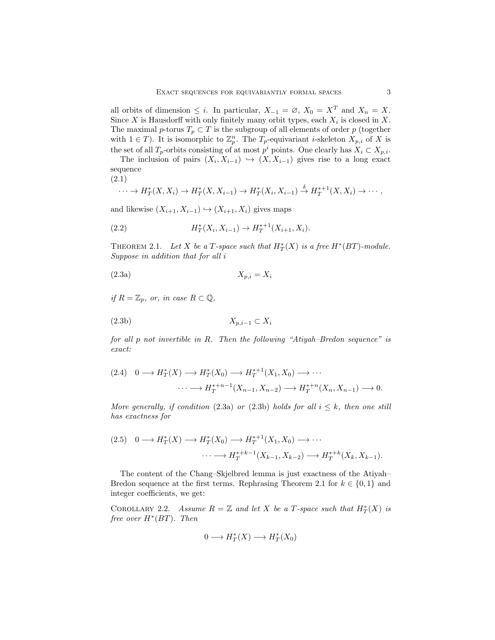all orbits of dimension  $\leq i$ . In particular,  $X_{-1} = \emptyset$ ,  $X_0 = X^T$  and  $X_n = X$ . Since X is Hausdorff with only finitely many orbit types, each  $X_i$  is closed in X. The maximal  $p$ -torus  $T_p \subset T$  is the subgroup of all elements of order  $p$  (together with  $1 \in T$ ). It is isomorphic to  $\mathbb{Z}_p^n$ . The  $T_p$ -equivariant *i*-skeleton  $X_{p,i}$  of X is the set of all  $T_p$ -orbits consisting of at most  $p^i$  points. One clearly has  $X_i \subset X_{p,i}$ .

The inclusion of pairs  $(X_i, X_{i-1}) \hookrightarrow (X, X_{i-1})$  gives rise to a long exact sequence

(2.1)

$$
\cdots \to H^*_T(X,X_i) \to H^*_T(X,X_{i-1}) \to H^*_T(X_i,X_{i-1}) \stackrel{\delta}{\to} H^{*+1}_T(X,X_i) \to \cdots,
$$

and likewise  $(X_{i+1}, X_{i-1}) \hookrightarrow (X_{i+1}, X_i)$  gives maps

(2.2) 
$$
H_T^*(X_i, X_{i-1}) \to H_T^{*+1}(X_{i+1}, X_i).
$$

THEOREM 2.1. Let X be a T-space such that  $H^*_T(X)$  is a free  $H^*(BT)$ -module. *Suppose in addition that for all* i

$$
(2.3a) \t\t X_{p,i} = X_i
$$

*if*  $R = \mathbb{Z}_p$ *, or, in case*  $R \subset \mathbb{Q}$ *,* 

$$
(2.3b) \t\t X_{p,i-1} \subset X_i
$$

*for all* p *not invertible in* R*. Then the following "Atiyah–Bredon sequence" is exact:*

$$
(2.4) \quad 0 \longrightarrow H_T^*(X) \longrightarrow H_T^*(X_0) \longrightarrow H_T^{*+1}(X_1, X_0) \longrightarrow \cdots
$$

$$
\cdots \longrightarrow H_T^{*+n-1}(X_{n-1}, X_{n-2}) \longrightarrow H_T^{*+n}(X_n, X_{n-1}) \longrightarrow 0.
$$

*More generally, if condition* (2.3a) *or* (2.3b) *holds for all*  $i \leq k$ *, then one still has exactness for*

$$
(2.5) \quad 0 \longrightarrow H_T^*(X) \longrightarrow H_T^*(X_0) \longrightarrow H_T^{*+1}(X_1, X_0) \longrightarrow \cdots
$$

$$
\cdots \longrightarrow H_T^{*+k-1}(X_{k-1}, X_{k-2}) \longrightarrow H_T^{*+k}(X_k, X_{k-1}).
$$

The content of the Chang–Skjelbred lemma is just exactness of the Atiyah– Bredon sequence at the first terms. Rephrasing Theorem 2.1 for  $k \in \{0,1\}$  and integer coefficients, we get:

COROLLARY 2.2. *Assume*  $R = \mathbb{Z}$  and let X be a T-space such that  $H^*_T(X)$  is *free over* H<sup>∗</sup> (BT)*. Then*

$$
0 \longrightarrow H^*_T(X) \longrightarrow H^*_T(X_0)
$$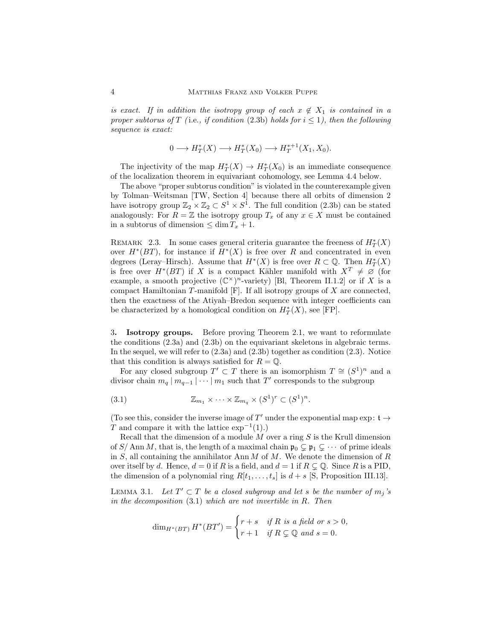*is exact.* If in addition the isotropy group of each  $x \notin X_1$  *is contained in a proper subtorus of* T (i.e., *if condition* (2.3b) *holds for*  $i \leq 1$ *), then the following sequence is exact:*

$$
0 \longrightarrow H^*_T(X) \longrightarrow H^*_T(X_0) \longrightarrow H^{*+1}_T(X_1, X_0).
$$

The injectivity of the map  $H^*_T(X) \to H^*_T(X_0)$  is an immediate consequence of the localization theorem in equivariant cohomology, see Lemma 4.4 below.

The above "proper subtorus condition" is violated in the counterexample given by Tolman–Weitsman [TW, Section 4] because there all orbits of dimension 2 have isotropy group  $\mathbb{Z}_2 \times \mathbb{Z}_2 \subset S^1 \times S^1$ . The full condition (2.3b) can be stated analogously: For  $R = \mathbb{Z}$  the isotropy group  $T_x$  of any  $x \in X$  must be contained in a subtorus of dimension  $\leq \dim T_x + 1$ .

REMARK 2.3. In some cases general criteria guarantee the freeness of  $H^*_T(X)$ over  $H^*(BT)$ , for instance if  $H^*(X)$  is free over R and concentrated in even degrees (Leray–Hirsch). Assume that  $H^*(X)$  is free over  $R \subset \mathbb{Q}$ . Then  $H^*_T(X)$ is free over  $H^*(BT)$  if X is a compact Kähler manifold with  $X^T \neq \emptyset$  (for example, a smooth projective  $(\mathbb{C}^{\times})^n$ -variety) [Bl, Theorem II.1.2] or if X is a compact Hamiltonian  $T$ -manifold  $[F]$ . If all isotropy groups of  $X$  are connected, then the exactness of the Atiyah–Bredon sequence with integer coefficients can be characterized by a homological condition on  $H^*_T(X)$ , see [FP].

3. Isotropy groups. Before proving Theorem 2.1, we want to reformulate the conditions (2.3a) and (2.3b) on the equivariant skeletons in algebraic terms. In the sequel, we will refer to  $(2.3a)$  and  $(2.3b)$  together as condition  $(2.3)$ . Notice that this condition is always satisfied for  $R = \mathbb{Q}$ .

For any closed subgroup  $T' \subset T$  there is an isomorphism  $T \cong (S^1)^n$  and a divisor chain  $m_q | m_{q-1} | \cdots | m_1$  such that T' corresponds to the subgroup

(3.1) 
$$
\mathbb{Z}_{m_1} \times \cdots \times \mathbb{Z}_{m_q} \times (S^1)^r \subset (S^1)^n.
$$

(To see this, consider the inverse image of  $T'$  under the exponential map  $\exp: \mathfrak{t} \to$ T and compare it with the lattice  $\exp^{-1}(1)$ .)

Recall that the dimension of a module  $M$  over a ring  $S$  is the Krull dimension of  $S/\text{Ann }M$ , that is, the length of a maximal chain  $\mathfrak{p}_0 \subsetneq \mathfrak{p}_1 \subsetneq \cdots$  of prime ideals in  $S$ , all containing the annihilator Ann  $M$  of  $M$ . We denote the dimension of  $R$ over itself by d. Hence,  $d = 0$  if R is a field, and  $d = 1$  if  $R \subsetneq \mathbb{Q}$ . Since R is a PID, the dimension of a polynomial ring  $R[t_1, \ldots, t_s]$  is  $d + s$  [S, Proposition III.13].

LEMMA 3.1. Let  $T' \subset T$  *be a closed subgroup and let s be the number of*  $m_j$ 's *in the decomposition* (3.1) *which are not invertible in* R*. Then*

$$
\dim_{H^*(BT)} H^*(BT') = \begin{cases} r+s & \text{if } R \text{ is a field or } s > 0, \\ r+1 & \text{if } R \subsetneq \mathbb{Q} \text{ and } s = 0. \end{cases}
$$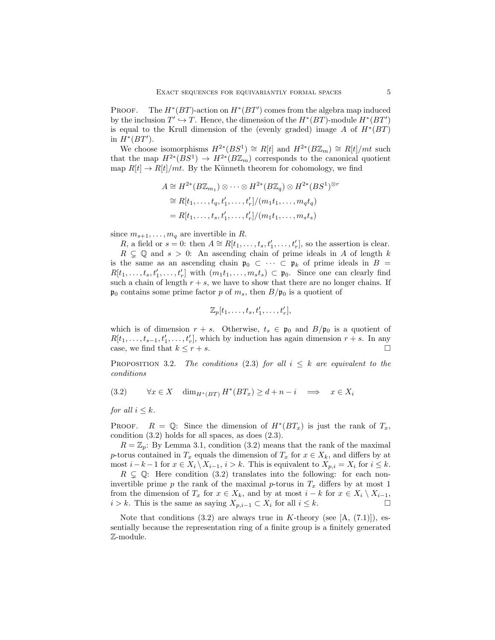PROOF. The  $H^*(BT)$ -action on  $H^*(BT')$  comes from the algebra map induced by the inclusion  $T' \hookrightarrow T$ . Hence, the dimension of the  $H^*(BT)$ -module  $H^*(BT')$ is equal to the Krull dimension of the (evenly graded) image A of  $H^*(BT)$ in  $H^*(BT')$ .

We choose isomorphisms  $H^{2*}(BS^1) \cong R[t]$  and  $H^{2*}(B\mathbb{Z}_m) \cong R[t]/mt$  such that the map  $H^{2*}(BS^1) \to H^{2*}(B\mathbb{Z}_m)$  corresponds to the canonical quotient map  $R[t] \to R[t]/mt$ . By the Künneth theorem for cohomology, we find

$$
A \cong H^{2*}(B\mathbb{Z}_{m_1}) \otimes \cdots \otimes H^{2*}(B\mathbb{Z}_q) \otimes H^{2*}(BS^1)^{\otimes r}
$$
  
\n
$$
\cong R[t_1, \ldots, t_q, t'_1, \ldots, t'_r]/(m_1t_1, \ldots, m_qt_q)
$$
  
\n
$$
= R[t_1, \ldots, t_s, t'_1, \ldots, t'_r]/(m_1t_1, \ldots, m_st_s)
$$

since  $m_{s+1}, \ldots, m_q$  are invertible in R.

R, a field or  $s = 0$ : then  $A \cong R[t_1, \ldots, t_s, t'_1, \ldots, t'_r]$ , so the assertion is clear.  $R \subseteq \mathbb{Q}$  and  $s > 0$ : An ascending chain of prime ideals in A of length k is the same as an ascending chain  $\mathfrak{p}_0 \subset \cdots \subset \mathfrak{p}_k$  of prime ideals in  $B =$  $R[t_1,\ldots,t_s,t'_1,\ldots,t'_r]$  with  $(m_1t_1,\ldots,m_st_s) \subset \mathfrak{p}_0$ . Since one can clearly find such a chain of length  $r + s$ , we have to show that there are no longer chains. If  $\mathfrak{p}_0$  contains some prime factor p of  $m_s$ , then  $B/\mathfrak{p}_0$  is a quotient of

$$
\mathbb{Z}_p[t_1,\ldots,t_s,t'_1,\ldots,t'_r],
$$

which is of dimension  $r + s$ . Otherwise,  $t_s \in \mathfrak{p}_0$  and  $B/\mathfrak{p}_0$  is a quotient of  $R[t_1, \ldots, t_{s-1}, t'_1, \ldots, t'_r]$ , which by induction has again dimension  $r + s$ . In any case, we find that  $k \leq r + s$ .

**PROPOSITION** 3.2. *The conditions* (2.3) *for all*  $i \leq k$  *are equivalent to the conditions*

$$
(3.2) \qquad \forall x \in X \quad \dim_{H^*(BT)} H^*(BT_x) \ge d + n - i \quad \implies \quad x \in X_i
$$

*for all*  $i \leq k$ *.* 

PROOF.  $R = \mathbb{Q}$ : Since the dimension of  $H^*(BT_x)$  is just the rank of  $T_x$ , condition (3.2) holds for all spaces, as does (2.3).

 $R = \mathbb{Z}_p$ : By Lemma 3.1, condition (3.2) means that the rank of the maximal p-torus contained in  $T_x$  equals the dimension of  $T_x$  for  $x \in X_k$ , and differs by at most  $i-k-1$  for  $x \in X_i \setminus X_{i-1}$ ,  $i > k$ . This is equivalent to  $X_{p,i} = X_i$  for  $i \leq k$ .

 $R \subsetneq \mathbb{Q}$ : Here condition (3.2) translates into the following: for each noninvertible prime p the rank of the maximal p-torus in  $T_x$  differs by at most 1 from the dimension of  $T_x$  for  $x \in X_k$ , and by at most  $i - k$  for  $x \in X_i \setminus X_{i-1}$ , *i* > *k*. This is the same as saying  $X_{p,i-1}$  ⊂  $X_i$  for all  $i \leq k$ .

Note that conditions  $(3.2)$  are always true in K-theory (see [A,  $(7.1)$ ]), essentially because the representation ring of a finite group is a finitely generated Z-module.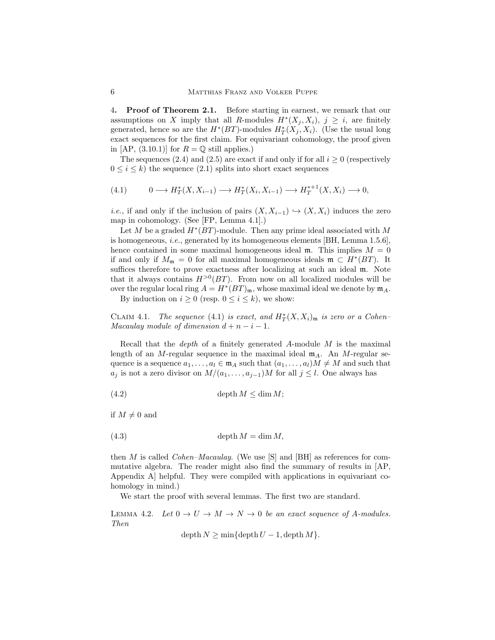4. Proof of Theorem 2.1. Before starting in earnest, we remark that our assumptions on X imply that all R-modules  $H^*(X_j, X_i)$ ,  $j \geq i$ , are finitely generated, hence so are the  $H^*(BT)$ -modules  $H^*_T(X_j, X_i)$ . (Use the usual long exact sequences for the first claim. For equivariant cohomology, the proof given in [AP,  $(3.10.1)$ ] for  $R = \mathbb{Q}$  still applies.)

The sequences (2.4) and (2.5) are exact if and only if for all  $i \geq 0$  (respectively  $0 \leq i \leq k$ ) the sequence (2.1) splits into short exact sequences

$$
(4.1) \qquad 0 \longrightarrow H_T^*(X, X_{i-1}) \longrightarrow H_T^*(X_i, X_{i-1}) \longrightarrow H_T^{*+1}(X, X_i) \longrightarrow 0,
$$

*i.e.*, if and only if the inclusion of pairs  $(X, X_{i-1}) \hookrightarrow (X, X_i)$  induces the zero map in cohomology. (See [FP, Lemma 4.1].)

Let M be a graded  $H^*(BT)$ -module. Then any prime ideal associated with M is homogeneous, *i.e.*, generated by its homogeneous elements [BH, Lemma 1.5.6], hence contained in some maximal homogeneous ideal  $\mathfrak{m}$ . This implies  $M = 0$ if and only if  $M_{\mathfrak{m}} = 0$  for all maximal homogeneous ideals  $\mathfrak{m} \subset H^*(BT)$ . It suffices therefore to prove exactness after localizing at such an ideal m. Note that it always contains  $H^{>0}(BT)$ . From now on all localized modules will be over the regular local ring  $A = H^*(BT)_{\mathfrak{m}}$ , whose maximal ideal we denote by  $\mathfrak{m}_A$ .

By induction on  $i > 0$  (resp.  $0 \le i \le k$ ), we show:

CLAIM 4.1. *The sequence* (4.1) *is exact, and*  $H_T^*(X, X_i)$ <sub>m</sub> *is zero or a Cohen– Macaulay module of dimension*  $d + n - i - 1$ *.* 

Recall that the *depth* of a finitely generated A-module M is the maximal length of an M-regular sequence in the maximal ideal  $m_A$ . An M-regular sequence is a sequence  $a_1, \ldots, a_l \in \mathfrak{m}_A$  such that  $(a_1, \ldots, a_l)M \neq M$  and such that  $a_j$  is not a zero divisor on  $M/(a_1, \ldots, a_{j-1})M$  for all  $j \leq l$ . One always has

$$
(4.2) \t\text{depth } M \leq \dim M;
$$

if  $M \neq 0$  and

$$
(4.3) \t\text{depth } M = \dim M,
$$

then M is called *Cohen–Macaulay*. (We use [S] and [BH] as references for commutative algebra. The reader might also find the summary of results in [AP, Appendix A] helpful. They were compiled with applications in equivariant cohomology in mind.)

We start the proof with several lemmas. The first two are standard.

LEMMA 4.2. Let  $0 \to U \to M \to N \to 0$  be an exact sequence of A-modules. *Then*

 $depth N > min{depth U - 1, depth M}.$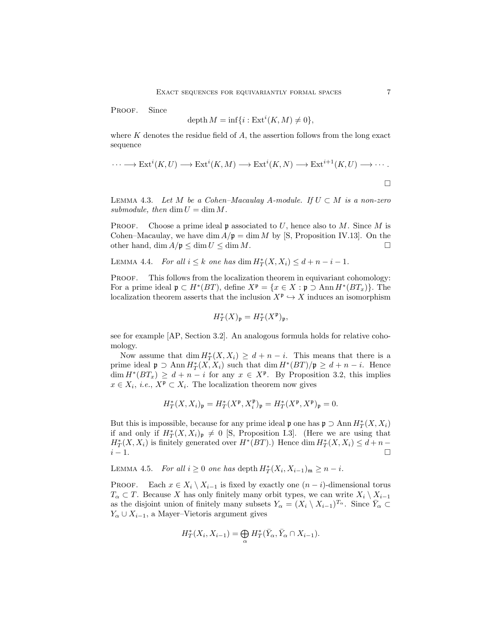PROOF. Since

$$
\operatorname{depth} M = \inf\{i : \operatorname{Ext}^i(K, M) \neq 0\},\
$$

where  $K$  denotes the residue field of  $A$ , the assertion follows from the long exact sequence

$$
\cdots \longrightarrow \text{Ext}^i(K, U) \longrightarrow \text{Ext}^i(K, M) \longrightarrow \text{Ext}^i(K, N) \longrightarrow \text{Ext}^{i+1}(K, U) \longrightarrow \cdots
$$

LEMMA 4.3. *Let*  $M$  *be a Cohen–Macaulay A-module. If*  $U \subset M$  *is a non-zero* submodule, then  $\dim U = \dim M$ .

**PROOF.** Choose a prime ideal **p** associated to U, hence also to M. Since M is Cohen–Macaulay, we have dim  $A/\mathfrak{p} = \dim M$  by [S, Proposition IV.13]. On the other hand,  $\dim A/\mathfrak{p} \leq \dim U \leq \dim M$ .

LEMMA 4.4. *For all*  $i \leq k$  *one has* dim  $H^*_T(X, X_i) \leq d + n - i - 1$ .

PROOF. This follows from the localization theorem in equivariant cohomology: For a prime ideal  $\mathfrak{p} \subset H^*(BT)$ , define  $X^{\mathfrak{p}} = \{x \in X : \mathfrak{p} \supset \text{Ann } H^*(BT_x)\}.$  The localization theorem asserts that the inclusion  $X^{\mathfrak{p}} \hookrightarrow X$  induces an isomorphism

$$
H^*_T(X)_{\mathfrak{p}}=H^*_T(X^{\mathfrak{p}})_{\mathfrak{p}},
$$

see for example [AP, Section 3.2]. An analogous formula holds for relative cohomology.

Now assume that  $\dim H_T^*(X, X_i) \geq d + n - i$ . This means that there is a prime ideal  $\mathfrak{p} \supset \text{Ann } H^*_T(X, X_i)$  such that  $\dim H^*(BT)/\mathfrak{p} \geq d + n - i$ . Hence  $\dim H^*(BT_x) \geq d + n - i$  for any  $x \in X^{\mathfrak{p}}$ . By Proposition 3.2, this implies  $x \in X_i$ , *i.e.*,  $X^{\mathfrak{p}} \subset X_i$ . The localization theorem now gives

$$
H^*_T(X,X_i)_{\mathfrak{p}}=H^*_T(X^{\mathfrak{p}},X_i^{\mathfrak{p}})_{\mathfrak{p}}=H^*_T(X^{\mathfrak{p}},X^{\mathfrak{p}})_{\mathfrak{p}}=0.
$$

But this is impossible, because for any prime ideal  $\mathfrak{p}$  one has  $\mathfrak{p} \supset \text{Ann } H^*_T(X,X_i)$ if and only if  $H^*_T(X,X_i)_{\mathfrak{p}}\neq 0$  [S, Proposition I.3]. (Here we are using that  $H^*_T(X, X_i)$  is finitely generated over  $H^*(BT)$ .) Hence  $\dim H^*_T(X, X_i) \leq d + n$  $i-1.$ 

LEMMA 4.5. *For all*  $i \geq 0$  *one has* depth  $H^*_T(X_i, X_{i-1})_{\mathfrak{m}} \geq n - i$ .

PROOF. Each  $x \in X_i \setminus X_{i-1}$  is fixed by exactly one  $(n-i)$ -dimensional torus  $T_{\alpha} \subset T$ . Because X has only finitely many orbit types, we can write  $X_i \setminus X_{i-1}$ as the disjoint union of finitely many subsets  $Y_{\alpha} = (X_i \setminus X_{i-1})^{T_{\alpha}}$ . Since  $\overline{Y}_{\alpha} \subset$  $Y_{\alpha} \cup X_{i-1}$ , a Mayer–Vietoris argument gives

$$
H_T^*(X_i, X_{i-1}) = \bigoplus_{\alpha} H_T^*(\bar{Y}_{\alpha}, \bar{Y}_{\alpha} \cap X_{i-1}).
$$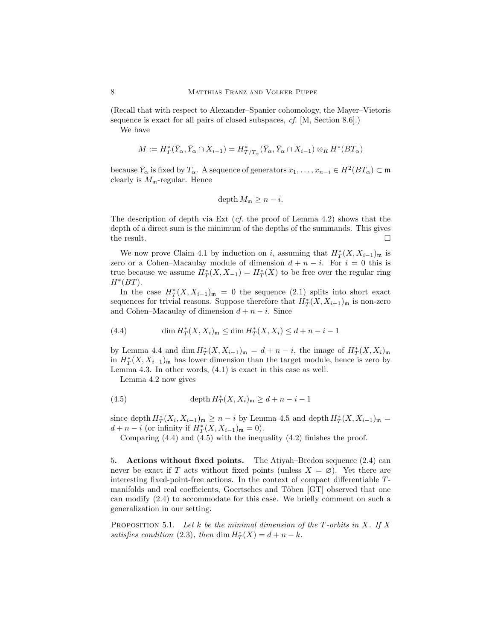(Recall that with respect to Alexander–Spanier cohomology, the Mayer–Vietoris sequence is exact for all pairs of closed subspaces, *cf.* [M, Section 8.6].)

We have

$$
M:=H_{T}^{*}(\bar{Y}_{\alpha},\bar{Y}_{\alpha}\cap X_{i-1})=H_{T/T_{\alpha}}^{*}(\bar{Y}_{\alpha},\bar{Y}_{\alpha}\cap X_{i-1})\otimes_{R}H^{*}(BT_{\alpha})
$$

because  $\bar{Y}_\alpha$  is fixed by  $T_\alpha$ . A sequence of generators  $x_1, \ldots, x_{n-i} \in H^2(BT_\alpha) \subset \mathfrak{m}$ clearly is  $M_{\rm m}$ -regular. Hence

$$
\operatorname{depth} M_{\mathfrak{m}} \geq n - i.
$$

The description of depth via Ext (*cf.* the proof of Lemma 4.2) shows that the depth of a direct sum is the minimum of the depths of the summands. This gives the result.  $\Box$ 

We now prove Claim 4.1 by induction on i, assuming that  $H^*_T(X, X_{i-1})_{\mathfrak{m}}$  is zero or a Cohen–Macaulay module of dimension  $d + n - i$ . For  $i = 0$  this is true because we assume  $H^*_T(X, X_{-1}) = H^*_T(X)$  to be free over the regular ring  $H^*(BT)$ .

In the case  $H^*_T(X, X_{i-1})_{\mathfrak{m}} = 0$  the sequence (2.1) splits into short exact sequences for trivial reasons. Suppose therefore that  $H^*_T(X, X_{i-1})_{\mathfrak{m}}$  is non-zero and Cohen–Macaulay of dimension  $d + n - i$ . Since

(4.4) 
$$
\dim H_T^*(X, X_i)_{\mathfrak{m}} \le \dim H_T^*(X, X_i) \le d + n - i - 1
$$

by Lemma 4.4 and dim  $H^*_T(X, X_{i-1})_{\mathfrak{m}} = d + n - i$ , the image of  $H^*_T(X, X_i)_{\mathfrak{m}}$ in  $H^*_T(X, X_{i-1})$ <sub>m</sub> has lower dimension than the target module, hence is zero by Lemma 4.3. In other words, (4.1) is exact in this case as well.

Lemma 4.2 now gives

(4.5) 
$$
\operatorname{depth} H_T^*(X, X_i)_{\mathfrak{m}} \geq d + n - i - 1
$$

since depth  $H^*_T(X_i, X_{i-1})_{\mathfrak{m}} \geq n-i$  by Lemma 4.5 and depth  $H^*_T(X, X_{i-1})_{\mathfrak{m}} =$  $d + n - i$  (or infinity if  $H^*_T(X, X_{i-1})_{\mathfrak{m}} = 0$ ).

Comparing (4.4) and (4.5) with the inequality (4.2) finishes the proof.

5. Actions without fixed points. The Atiyah–Bredon sequence (2.4) can never be exact if T acts without fixed points (unless  $X = \emptyset$ ). Yet there are interesting fixed-point-free actions. In the context of compact differentiable Tmanifolds and real coefficients, Goertsches and Töben [GT] observed that one can modify (2.4) to accommodate for this case. We briefly comment on such a generalization in our setting.

Proposition 5.1. *Let* k *be the minimal dimension of the* T*-orbits in* X*. If* X *satisfies condition* (2.3), then  $\dim H_T^*(X) = d + n - k$ .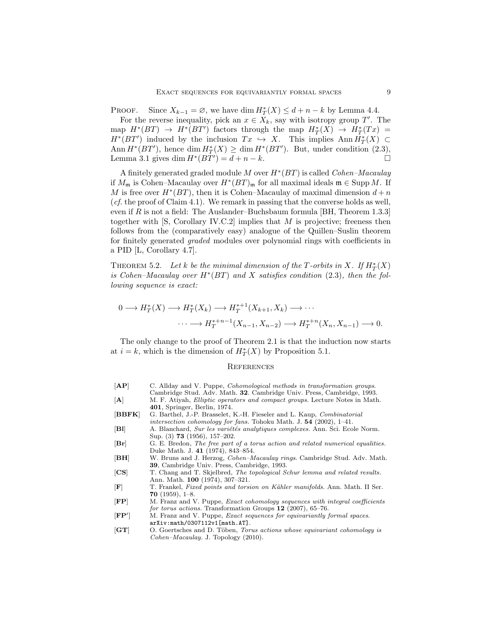PROOF. Since  $X_{k-1} = \emptyset$ , we have dim  $H^*_T(X) \leq d + n - k$  by Lemma 4.4.

For the reverse inequality, pick an  $x \in X_k$ , say with isotropy group T'. The map  $H^*(BT) \to H^*(BT')$  factors through the map  $H^*_T(X) \to H^*_T(Tx) =$  $H^*(BT')$  induced by the inclusion  $Tx \hookrightarrow X$ . This implies  $\text{Ann}\,\overline{H}^*_T(X) \subset$ Ann  $H^*(BT')$ , hence dim  $H^*_T(X) \ge \dim H^*(BT')$ . But, under condition (2.3), Lemma 3.1 gives dim  $H^*(BT') = d + n - k$ .

A finitely generated graded module M over H<sup>∗</sup> (BT) is called *Cohen–Macaulay* if  $M_{\mathfrak{m}}$  is Cohen–Macaulay over  $H^*(BT)_{\mathfrak{m}}$  for all maximal ideals  $\mathfrak{m} \in \text{Supp } M$ . If M is free over  $H^*(BT)$ , then it is Cohen–Macaulay of maximal dimension  $d + n$ (*cf.* the proof of Claim 4.1). We remark in passing that the converse holds as well, even if  $R$  is not a field: The Auslander–Buchsbaum formula [BH, Theorem 1.3.3] together with  $[S, Corollary IV.C.2]$  implies that M is projective; freeness then follows from the (comparatively easy) analogue of the Quillen–Suslin theorem for finitely generated *graded* modules over polynomial rings with coefficients in a PID [L, Corollary 4.7].

THEOREM 5.2. Let k be the minimal dimension of the T-orbits in X. If  $H^*_T(X)$ *is Cohen–Macaulay over* H<sup>∗</sup> (BT) *and* X *satisfies condition* (2.3)*, then the following sequence is exact:*

$$
0 \longrightarrow H_T^*(X) \longrightarrow H_T^*(X_k) \longrightarrow H_T^{*+1}(X_{k+1}, X_k) \longrightarrow \cdots
$$

$$
\cdots \longrightarrow H_T^{*+n-1}(X_{n-1}, X_{n-2}) \longrightarrow H_T^{*+n}(X_n, X_{n-1}) \longrightarrow 0.
$$

The only change to the proof of Theorem 2.1 is that the induction now starts at  $i = k$ , which is the dimension of  $H^*_T(X)$  by Proposition 5.1.

## **REFERENCES**

- [AP] C. Allday and V. Puppe, *Cohomological methods in transformation groups*. Cambridge Stud. Adv. Math. 32. Cambridge Univ. Press, Cambridge, 1993. [A] M. F. Atiyah, Elliptic operators and compact groups. Lecture Notes in Math. 401, Springer, Berlin, 1974. [BBFK] G. Barthel, J.-P. Brasselet, K.-H. Fieseler and L. Kaup, Combinatorial
- intersection cohomology for fans. Tohoku Math. J. 54 (2002), 1–41. [BI] A. Blanchard, Sur les variétés analytiques complexes. Ann. Sci. Ecole Norm.
- Sup. (3) 73 (1956), 157–202. [Br] G. E. Bredon, The free part of a torus action and related numerical equalities.
- Duke Math. J. 41 (1974), 843–854.
- [BH] W. Bruns and J. Herzog, Cohen-Macaulay rings. Cambridge Stud. Adv. Math. 39, Cambridge Univ. Press, Cambridge, 1993.
- [CS] T. Chang and T. Skjelbred, The topological Schur lemma and related results. Ann. Math. 100 (1974), 307–321.
- [F] T. Frankel, Fixed points and torsion on Kähler manifolds. Ann. Math. II Ser. 70 (1959), 1–8.
- [FP] M. Franz and V. Puppe, Exact cohomology sequences with integral coefficients for torus actions. Transformation Groups  $12$  (2007), 65–76.
- $[{\bf FP}^{\prime}]$ ] M. Franz and V. Puppe, Exact sequences for equivariantly formal spaces. arXiv:math/0307112v1[math.AT].
- [GT] O. Goertsches and D. Töben, Torus actions whose equivariant cohomology is Cohen–Macaulay. J. Topology (2010).